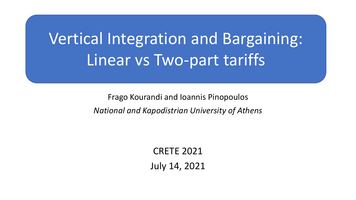# Vertical Integration and Bargaining: Linear vs Two-part tariffs

Frago Kourandi and Ioannis Pinopoulos *National and Kapodistrian University of Athens*

> CRETE 2021 July 14, 2021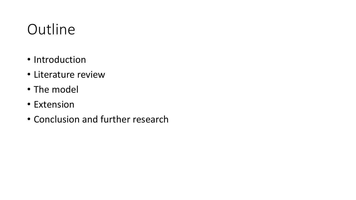# **Outline**

- Introduction
- Literature review
- The model
- Extension
- Conclusion and further research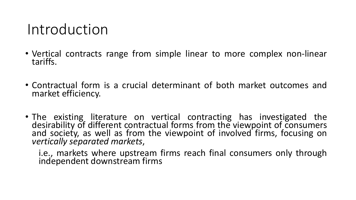#### Introduction

- Vertical contracts range from simple linear to more complex non-linear tariffs.
- Contractual form is a crucial determinant of both market outcomes and market efficiency.
- The existing literature on vertical contracting has investigated the desirability of different contractual forms from the viewpoint of consumers and society, as well as from the viewpoint of involved firms, focusing on *vertically separated markets*,

i.e., markets where upstream firms reach final consumers only through independent downstream firms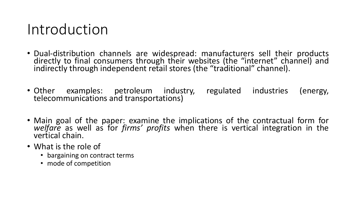#### Introduction

- Dual-distribution channels are widespread: manufacturers sell their products directly to final consumers through their websites (the "internet" channel) and indirectly through independent retail stores (the "traditional" channel).
- Other examples: petroleum industry, regulated industries (energy, telecommunications and transportations)
- Main goal of the paper: examine the implications of the contractual form for *welfare* as well as for *firms' profits* when there is vertical integration in the vertical chain.
- What is the role of
	- bargaining on contract terms
	- mode of competition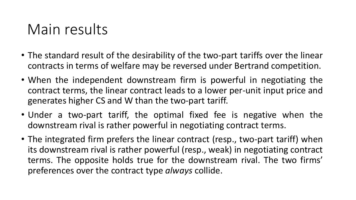# Main results

- The standard result of the desirability of the two-part tariffs over the linear contracts in terms of welfare may be reversed under Bertrand competition.
- When the independent downstream firm is powerful in negotiating the contract terms, the linear contract leads to a lower per-unit input price and generates higher CS and W than the two-part tariff.
- Under a two-part tariff, the optimal fixed fee is negative when the downstream rival is rather powerful in negotiating contract terms.
- The integrated firm prefers the linear contract (resp., two-part tariff) when its downstream rival is rather powerful (resp., weak) in negotiating contract terms. The opposite holds true for the downstream rival. The two firms' preferences over the contract type *always* collide.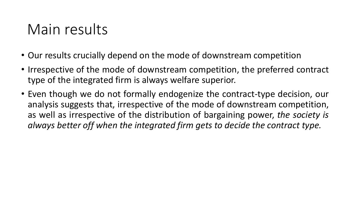# Main results

- Our results crucially depend on the mode of downstream competition
- Irrespective of the mode of downstream competition, the preferred contract type of the integrated firm is always welfare superior.
- Even though we do not formally endogenize the contract-type decision, our analysis suggests that, irrespective of the mode of downstream competition, as well as irrespective of the distribution of bargaining power, *the society is always better off when the integrated firm gets to decide the contract type.*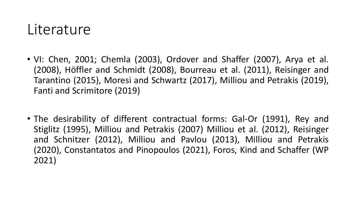#### **Literature**

- VI: Chen, 2001; Chemla (2003), Ordover and Shaffer (2007), Arya et al. (2008), Höffler and Schmidt (2008), Bourreau et al. (2011), Reisinger and Tarantino (2015), Moresi and Schwartz (2017), Milliou and Petrakis (2019), Fanti and Scrimitore (2019)
- The desirability of different contractual forms: Gal-Or (1991), Rey and Stiglitz (1995), Milliou and Petrakis (2007) Milliou et al. (2012), Reisinger and Schnitzer (2012), Milliou and Pavlou (2013), Milliou and Petrakis (2020), Constantatos and Pinopoulos (2021), Foros, Kind and Schaffer (WP 2021)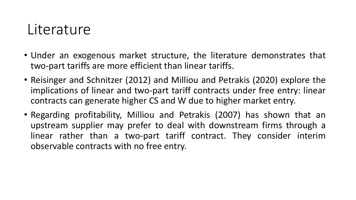#### **Literature**

- Under an exogenous market structure, the literature demonstrates that two-part tariffs are more efficient than linear tariffs.
- Reisinger and Schnitzer (2012) and Milliou and Petrakis (2020) explore the implications of linear and two-part tariff contracts under free entry: linear contracts can generate higher CS and W due to higher market entry.
- Regarding profitability, Milliou and Petrakis (2007) has shown that an upstream supplier may prefer to deal with downstream firms through a linear rather than a two-part tariff contract. They consider interim observable contracts with no free entry.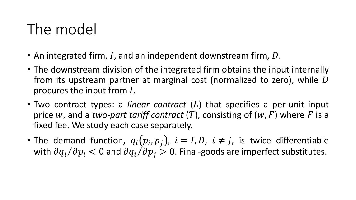# The model

- An integrated firm, I, and an independent downstream firm,  $D$ .
- The downstream division of the integrated firm obtains the input internally from its upstream partner at marginal cost (normalized to zero), while  $D$ procures the input from *.*
- Two contract types: a *linear contract* (L) that specifies a per-unit input price w, and a *two-part tariff contract* (T), consisting of ( $w$ ,  $F$ ) where  $F$  is a fixed fee. We study each case separately.
- The demand function,  $q_i(p_i, p_j)$ ,  $i = I, D$ ,  $i \neq j$ , is twice differentiable with  $\partial q_i/\partial p_i < 0$  and  $\partial q_i/\partial p_i > 0$ . Final-goods are imperfect substitutes.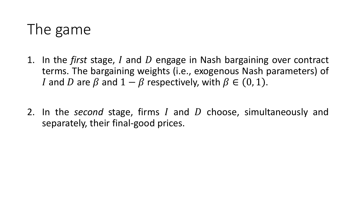# The game

- 1. In the *first* stage, I and D engage in Nash bargaining over contract terms. The bargaining weights (i.e., exogenous Nash parameters) of *I* and *D* are  $\beta$  and  $1 - \beta$  respectively, with  $\beta \in (0, 1)$ .
- 2. In the *second* stage, firms I and D choose, simultaneously and separately, their final-good prices.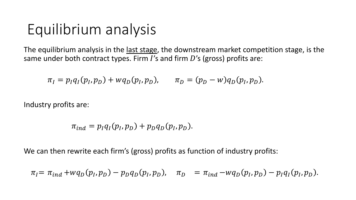# Equilibrium analysis

The equilibrium analysis in the last stage, the downstream market competition stage, is the same under both contract types. Firm  $I$ 's and firm  $D$ 's (gross) profits are:

$$
\pi_I = p_I q_I(p_I, p_D) + w q_D(p_I, p_D), \qquad \pi_D = (p_D - w) q_D(p_I, p_D).
$$

Industry profits are:

$$
\pi_{ind} = p_I q_I(p_I, p_D) + p_D q_D(p_I, p_D).
$$

We can then rewrite each firm's (gross) profits as function of industry profits:

$$
\pi_I = \pi_{ind} + wq_D(p_I, p_D) - p_Dq_D(p_I, p_D), \quad \pi_D = \pi_{ind} - wq_D(p_I, p_D) - p_Iq_I(p_I, p_D).
$$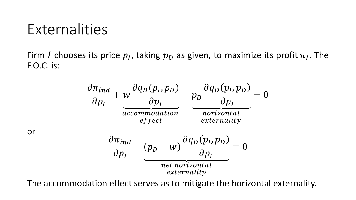# Externalities

or

Firm I chooses its price  $p_I$ , taking  $p_D$  as given, to maximize its profit  $\pi_I$ . The F.O.C. is:



The accommodation effect serves as to mitigate the horizontal externality.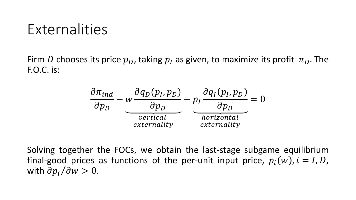# Externalities

Firm D chooses its price  $p_D$ , taking  $p_I$  as given, to maximize its profit  $\pi_D$ . The F.O.C. is:



Solving together the FOCs, we obtain the last-stage subgame equilibrium final-good prices as functions of the per-unit input price,  $p_i(w)$ ,  $i = I, D$ , with  $\partial p_i / \partial w > 0$ .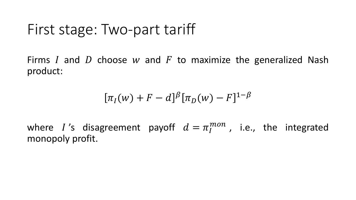Firms I and D choose w and F to maximize the generalized Nash product:

$$
[\pi_I(w) + F - d]^{\beta} [\pi_D(w) - F]^{1-\beta}
$$

where I's disagreement payoff  $d = \pi_I^{mon}$  , i.e., the integrated monopoly profit.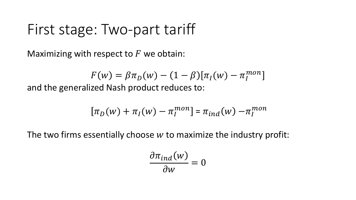Maximizing with respect to  $F$  we obtain:

 $F(w) = \beta \pi_D(w) - (1 - \beta) [\pi_I(w) - \pi_I^{mon}]$ and the generalized Nash product reduces to:

$$
[\pi_D(w) + \pi_I(w) - \pi_I^{mon}] = \pi_{ind}(w) - \pi_I^{mon}
$$

The two firms essentially choose  $w$  to maximize the industry profit:

$$
\frac{\partial \pi_{ind}(w)}{\partial w} = 0
$$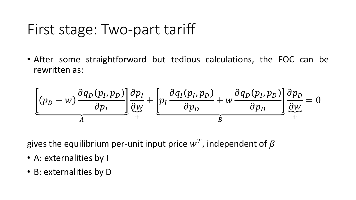• After some straightforward but tedious calculations, the FOC can be rewritten as:

$$
\underbrace{\left[ (p_D - w) \frac{\partial q_D(p_I, p_D)}{\partial p_I} \right] \underbrace{\frac{\partial p_I}{\partial w}}_{+} + \underbrace{\left[ p_I \frac{\partial q_I(p_I, p_D)}{\partial p_D} + w \frac{\partial q_D(p_I, p_D)}{\partial p_D} \right] \underbrace{\frac{\partial p_D}{\partial w}}_{+}}_{B} = 0
$$

gives the equilibrium per-unit input price  $w^T$ , independent of  $\beta$ 

- A: externalities by I
- B: externalities by D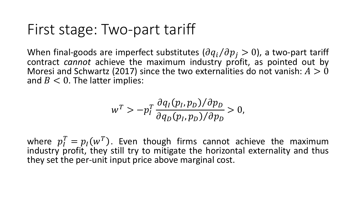When final-goods are imperfect substitutes  $(\partial q_i/\partial p_i > 0)$ , a two-part tariff contract *cannot* achieve the maximum industry profit, as pointed out by Moresi and Schwartz (2017) since the two externalities do not vanish:  $A > 0$ and  $B < 0$ . The latter implies:

$$
w^T > -p_I^T \frac{\partial q_I(p_I, p_D)/\partial p_D}{\partial q_D(p_I, p_D)/\partial p_D} > 0,
$$

where  $p_I^T = p_I(w^T)$ . Even though firms cannot achieve the maximum industry profit, they still try to mitigate the horizontal externality and thus they set the per-unit input price above marginal cost.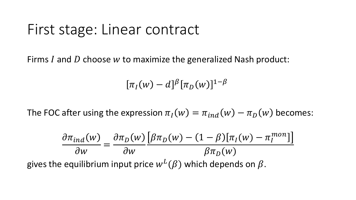#### First stage: Linear contract

Firms  $I$  and  $D$  choose  $w$  to maximize the generalized Nash product:

 $\pi_I(w) - d]^{\beta} [\pi_D(w)]^{1-\beta}$ 

The FOC after using the expression  $\pi_I(w) = \pi_{ind}(w) - \pi_D(w)$  becomes:

$$
\frac{\partial \pi_{ind}(w)}{\partial w} = \frac{\partial \pi_D(w)}{\partial w} \frac{\left[\beta \pi_D(w) - (1 - \beta)\left[\pi_I(w) - \pi_I^{mon}\right]\right]}{\beta \pi_D(w)}
$$
\ngives the equilibrium input price  $w^L(\beta)$  which depends on  $\beta$ .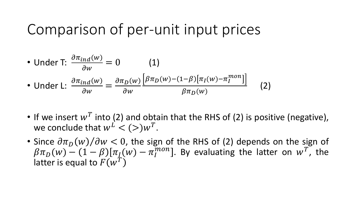### Comparison of per-unit input prices

• Under T: 
$$
\frac{\partial \pi_{ind}(w)}{\partial w} = 0
$$
 (1)  
\n• Under L:  $\frac{\partial \pi_{ind}(w)}{\partial w} = \frac{\partial \pi_D(w)}{\partial w} \frac{\left[\beta \pi_D(w) - (1-\beta)\left[\pi_I(w) - \pi_I^{mon}\right]\right]}{\beta \pi_D(w)}$  (2)

- If we insert  $w^T$  into (2) and obtain that the RHS of (2) is positive (negative), we conclude that  $w^L < (>)w^T$ .
- Since  $\partial \pi_D(w)/\partial w < 0$ , the sign of the RHS of (2) depends on the sign of  $\beta \pi_D(w) - (1 - \beta) [\pi_I(w) - \pi_I^{mon}]$ . By evaluating the latter on  $w^T$ , the latter is equal to  $F(\tilde w^{\tilde T})$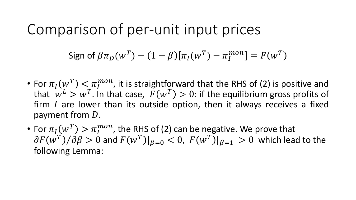#### Comparison of per-unit input prices

Sign of 
$$
\beta \pi_D(w^T) - (1 - \beta) [\pi_I(w^T) - \pi_I^{mon}] = F(w^T)
$$

- For  $\pi_I(w^T) < \pi_I^{mon}$ , it is straightforward that the RHS of (2) is positive and that  $w^L > w^T$ . In that case,  $F(w^T) > 0$ : if the equilibrium gross profits of firm  $I$  are lower than its outside option, then it always receives a fixed payment from  $D$ .
- For  $\pi_I(w^T) > \pi_I^{mon}$ , the RHS of (2) can be negative. We prove that  $\partial F(w^T)/\partial \beta > 0$  and  $F(w^T)|_{\beta=0} < 0$ ,  $F(w^T)|_{\beta=1} > 0$  which lead to the following Lemma: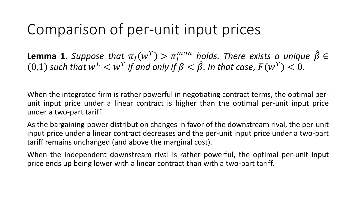# Comparison of per-unit input prices

**Lemma 1.** Suppose that  $\pi_I(w^T) > \pi_I^{mon}$  holds. There exists a unique  $\hat{\beta} \in$  $(0,1)$  such that  $w^L < w^T$  if and only if  $\beta < \hat{\beta}$ . In that case,  $F(w^T) < 0$ .

When the integrated firm is rather powerful in negotiating contract terms, the optimal perunit input price under a linear contract is higher than the optimal per-unit input price under a two-part tariff.

As the bargaining-power distribution changes in favor of the downstream rival, the per-unit input price under a linear contract decreases and the per-unit input price under a two-part tariff remains unchanged (and above the marginal cost).

When the independent downstream rival is rather powerful, the optimal per-unit input price ends up being lower with a linear contract than with a two-part tariff.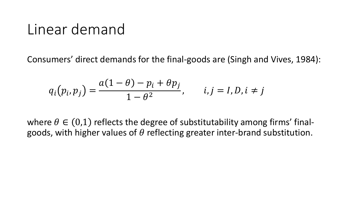#### Linear demand

Consumers' direct demands for the final-goods are (Singh and Vives, 1984):

$$
q_i(p_i, p_j) = \frac{a(1-\theta) - p_i + \theta p_j}{1-\theta^2}, \qquad i, j = I, D, i \neq j
$$

where  $\theta \in (0,1)$  reflects the degree of substitutability among firms' finalgoods, with higher values of  $\theta$  reflecting greater inter-brand substitution.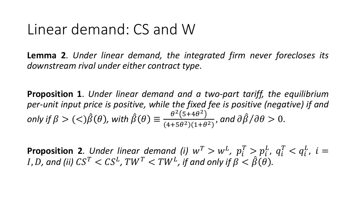#### Linear demand: CS and W

**Lemma 2**. *Under linear demand, the integrated firm never forecloses its downstream rival under either contract type*.

**Proposition 1**. *Under linear demand and a two-part tariff, the equilibrium per-unit input price is positive, while the fixed fee is positive (negative) if and*  $\langle \text{only if } \beta > (<\rangle \hat{\beta}(\theta)$ , with  $\hat{\beta}(\theta) \equiv \frac{\theta^2 (5 + 4\theta^2)}{(4 + \pi \theta^2)(1 + \theta^2)}$  $4+5\theta^2)(1+\theta^2)$ , and  $\partial \hat{\beta}/\partial \theta > 0$ .

**Proposition 2**. Under linear demand (i)  $w^T > w^L$ ,  $p_i^T > p_i^L$ ,  $q_i^T < q_i^L$ ,  $i =$ *I*, *D*, and (ii)  $CS^T < CS^L$ ,  $TW^T < TW^L$ , if and only if  $\beta < \hat{\beta}(\theta)$ .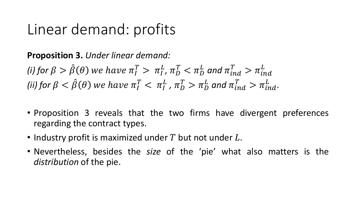# Linear demand: profits

**Proposition 3.** *Under linear demand:*

(i) for  $\beta > \hat{\beta}(\theta)$  we have  $\pi_I^T > \pi_I^L$ ,  $\pi_D^T < \pi_D^L$  and  $\pi_{ind}^T > \pi_{ind}^L$ (ii) for  $\beta < \hat{\beta}(\theta)$  we have  $\pi_I^T < \pi_I^L$  ,  $\pi_D^T > \pi_D^L$  and  $\pi_{ind}^T > \pi_{ind}^L$ .

- Proposition 3 reveals that the two firms have divergent preferences regarding the contract types.
- Industry profit is maximized under  $T$  but not under  $L$ .
- Nevertheless, besides the *size* of the 'pie' what also matters is the *distribution* of the pie.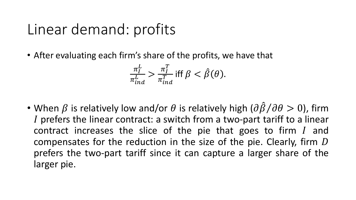# Linear demand: profits

• After evaluating each firm's share of the profits, we have that

$$
\frac{\pi_I^L}{\pi_{ind}^L} > \frac{\pi_I^T}{\pi_{ind}^T} \text{ iff } \beta < \hat{\beta}(\theta).
$$

• When  $\beta$  is relatively low and/or  $\theta$  is relatively high  $(\partial \hat{\beta}/\partial \theta > 0)$ , firm prefers the linear contract: a switch from a two-part tariff to a linear contract increases the slice of the pie that goes to firm  $I$  and compensates for the reduction in the size of the pie. Clearly, firm  $D$ prefers the two-part tariff since it can capture a larger share of the larger pie.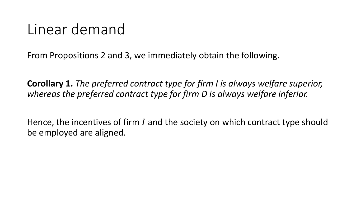# Linear demand

From Propositions 2 and 3, we immediately obtain the following.

**Corollary 1.** *The preferred contract type for firm I is always welfare superior, whereas the preferred contract type for firm D is always welfare inferior.*

Hence, the incentives of firm  $I$  and the society on which contract type should be employed are aligned.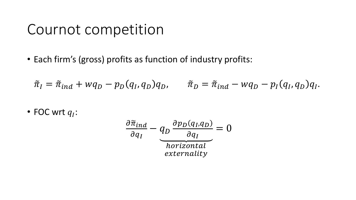• Each firm's (gross) profits as function of industry profits:

$$
\tilde{\pi}_I = \tilde{\pi}_{ind} + wq_D - p_D(q_I, q_D)q_D, \qquad \tilde{\pi}_D = \tilde{\pi}_{ind} - wq_D - p_I(q_I, q_D)q_I.
$$

• FOC wrt  $q_I$ :

$$
\frac{\partial \tilde{\pi}_{ind}}{\partial q_I} - q_D \frac{\partial p_D(q_I, q_D)}{\partial q_I} = 0
$$
\nhorizontal

\nexternality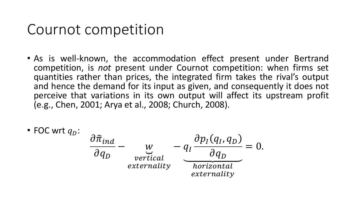- As is well-known, the accommodation effect present under Bertrand competition, is *not* present under Cournot competition: when firms set quantities rather than prices, the integrated firm takes the rival's output and hence the demand for its input as given, and consequently it does not perceive that variations in its own output will affect its upstream profit (e.g., Chen, 2001; Arya et al., 2008; Church, 2008).
- FOC wrt  $q_D$ :  $\partial{\tilde{\pi}}_{ind}$

$$
\frac{\partial \tilde{\pi}_{ind}}{\partial q_D} - \underbrace{w}_{vertical} - q_I \frac{\partial p_I(q_I, q_D)}{\partial q_D} = 0.
$$
\n
$$
\underbrace{v}_{externality} - \underbrace{q_I \frac{\partial p_I(q_I, q_D)}{\partial q_D}}_{externality} = 0.
$$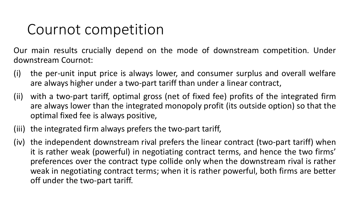Our main results crucially depend on the mode of downstream competition. Under downstream Cournot:

- (i) the per-unit input price is always lower, and consumer surplus and overall welfare are always higher under a two-part tariff than under a linear contract,
- (ii) with a two-part tariff, optimal gross (net of fixed fee) profits of the integrated firm are always lower than the integrated monopoly profit (its outside option) so that the optimal fixed fee is always positive,
- (iii) the integrated firm always prefers the two-part tariff,
- (iv) the independent downstream rival prefers the linear contract (two-part tariff) when it is rather weak (powerful) in negotiating contract terms, and hence the two firms' preferences over the contract type collide only when the downstream rival is rather weak in negotiating contract terms; when it is rather powerful, both firms are better off under the two-part tariff.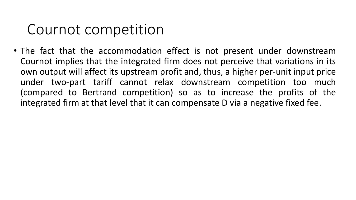• The fact that the accommodation effect is not present under downstream Cournot implies that the integrated firm does not perceive that variations in its own output will affect its upstream profit and, thus, a higher per-unit input price under two-part tariff cannot relax downstream competition too much (compared to Bertrand competition) so as to increase the profits of the integrated firm at that level that it can compensate D via a negative fixed fee.